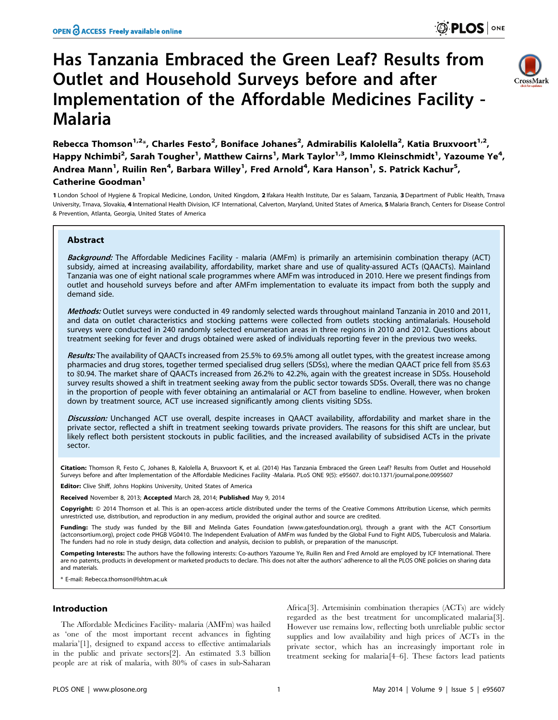# Has Tanzania Embraced the Green Leaf? Results from Outlet and Household Surveys before and after Implementation of the Affordable Medicines Facility - Malaria



Rebecca Thomson<sup>1,2\*</sup>, Charles Festo<sup>2</sup>, Boniface Johanes<sup>2</sup>, Admirabilis Kalolella<sup>2</sup>, Katia Bruxvoort<sup>1,2</sup>, Happy Nchimbi<sup>2</sup>, Sarah Tougher<sup>1</sup>, Matthew Cairns<sup>1</sup>, Mark Taylor<sup>1,3</sup>, Immo Kleinschmidt<sup>1</sup>, Yazoume Ye<sup>4</sup>, Andrea Mann<sup>1</sup>, Ruilin Ren<sup>4</sup>, Barbara Willey<sup>1</sup>, Fred Arnold<sup>4</sup>, Kara Hanson<sup>1</sup>, S. Patrick Kachur<sup>5</sup>, Catherine Goodman<sup>1</sup>

1 London School of Hygiene & Tropical Medicine, London, United Kingdom, 2 Ifakara Health Institute, Dar es Salaam, Tanzania, 3Department of Public Health, Trnava University, Trnava, Slovakia, 4 International Health Division, ICF International, Calverton, Maryland, United States of America, 5 Malaria Branch, Centers for Disease Control & Prevention, Atlanta, Georgia, United States of America

# Abstract

Background: The Affordable Medicines Facility - malaria (AMFm) is primarily an artemisinin combination therapy (ACT) subsidy, aimed at increasing availability, affordability, market share and use of quality-assured ACTs (QAACTs). Mainland Tanzania was one of eight national scale programmes where AMFm was introduced in 2010. Here we present findings from outlet and household surveys before and after AMFm implementation to evaluate its impact from both the supply and demand side.

Methods: Outlet surveys were conducted in 49 randomly selected wards throughout mainland Tanzania in 2010 and 2011, and data on outlet characteristics and stocking patterns were collected from outlets stocking antimalarials. Household surveys were conducted in 240 randomly selected enumeration areas in three regions in 2010 and 2012. Questions about treatment seeking for fever and drugs obtained were asked of individuals reporting fever in the previous two weeks.

Results: The availability of QAACTs increased from 25.5% to 69.5% among all outlet types, with the greatest increase among pharmacies and drug stores, together termed specialised drug sellers (SDSs), where the median QAACT price fell from \$5.63 to \$0.94. The market share of QAACTs increased from 26.2% to 42.2%, again with the greatest increase in SDSs. Household survey results showed a shift in treatment seeking away from the public sector towards SDSs. Overall, there was no change in the proportion of people with fever obtaining an antimalarial or ACT from baseline to endline. However, when broken down by treatment source, ACT use increased significantly among clients visiting SDSs.

Discussion: Unchanged ACT use overall, despite increases in QAACT availability, affordability and market share in the private sector, reflected a shift in treatment seeking towards private providers. The reasons for this shift are unclear, but likely reflect both persistent stockouts in public facilities, and the increased availability of subsidised ACTs in the private sector.

Citation: Thomson R, Festo C, Johanes B, Kalolella A, Bruxvoort K, et al. (2014) Has Tanzania Embraced the Green Leaf? Results from Outlet and Household Surveys before and after Implementation of the Affordable Medicines Facility -Malaria. PLoS ONE 9(5): e95607. doi:10.1371/journal.pone.0095607

Editor: Clive Shiff, Johns Hopkins University, United States of America

Received November 8, 2013; Accepted March 28, 2014; Published May 9, 2014

**Copyright:** © 2014 Thomson et al. This is an open-access article distributed under the terms of the [Creative Commons Attribution License,](http://creativecommons.org/licenses/by/4.0/) which permits unrestricted use, distribution, and reproduction in any medium, provided the original author and source are credited.

Funding: The study was funded by the Bill and Melinda Gates Foundation (www.gatesfoundation.org), through a grant with the ACT Consortium (actconsortium.org), project code PHGB VG0410. The Independent Evaluation of AMFm was funded by the Global Fund to Fight AIDS, Tuberculosis and Malaria. The funders had no role in study design, data collection and analysis, decision to publish, or preparation of the manuscript.

Competing Interests: The authors have the following interests: Co-authors Yazoume Ye, Ruilin Ren and Fred Arnold are employed by ICF International. There are no patents, products in development or marketed products to declare. This does not alter the authors' adherence to all the PLOS ONE policies on sharing data and materials.

\* E-mail: Rebecca.thomson@lshtm.ac.uk

# Introduction

The Affordable Medicines Facility- malaria (AMFm) was hailed as 'one of the most important recent advances in fighting malaria'[1], designed to expand access to effective antimalarials in the public and private sectors[2]. An estimated 3.3 billion people are at risk of malaria, with 80% of cases in sub-Saharan

Africa[3]. Artemisinin combination therapies (ACTs) are widely regarded as the best treatment for uncomplicated malaria[3]. However use remains low, reflecting both unreliable public sector supplies and low availability and high prices of ACTs in the private sector, which has an increasingly important role in treatment seeking for malaria[4–6]. These factors lead patients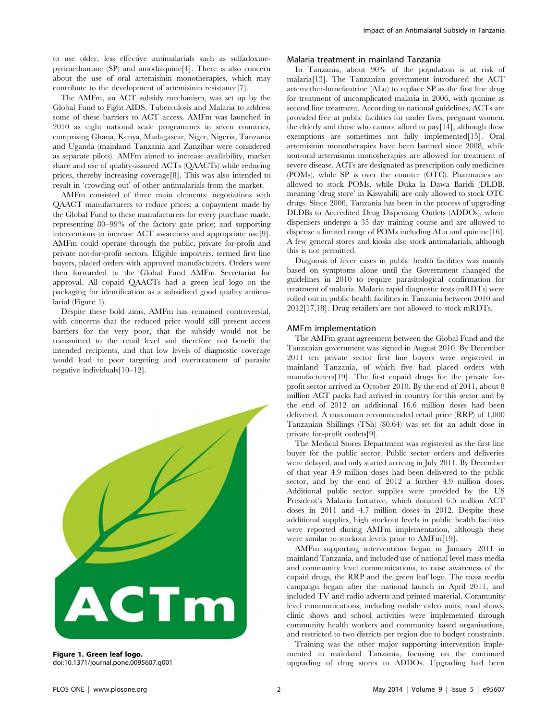to use older, less effective antimalarials such as sulfadoxinepyrimethamine (SP) and amodiaquine[4]. There is also concern about the use of oral artemisinin monotherapies, which may contribute to the development of artemisinin resistance[7].

The AMFm, an ACT subsidy mechanism, was set up by the Global Fund to Fight AIDS, Tuberculosis and Malaria to address some of these barriers to ACT access. AMFm was launched in 2010 as eight national scale programmes in seven countries, comprising Ghana, Kenya, Madagascar, Niger, Nigeria, Tanzania and Uganda (mainland Tanzania and Zanzibar were considered as separate pilots). AMFm aimed to increase availability, market share and use of quality-assured ACTs (QAACTs) while reducing prices, thereby increasing coverage[8]. This was also intended to result in 'crowding out' of other antimalarials from the market.

AMFm consisted of three main elements: negotiations with QAACT manufacturers to reduce prices; a copayment made by the Global Fund to these manufacturers for every purchase made, representing 80–99% of the factory gate price; and supporting interventions to increase ACT awareness and appropriate use[9]. AMFm could operate through the public, private for-profit and private not-for-profit sectors. Eligible importers, termed first line buyers, placed orders with approved manufacturers. Orders were then forwarded to the Global Fund AMFm Secretariat for approval. All copaid QAACTs had a green leaf logo on the packaging for identification as a subsidised good quality antimalarial (Figure 1).

Despite these bold aims, AMFm has remained controversial, with concerns that the reduced price would still present access barriers for the very poor, that the subsidy would not be transmitted to the retail level and therefore not benefit the intended recipients, and that low levels of diagnostic coverage would lead to poor targeting and overtreatment of parasite negative individuals[10–12].



Figure 1. Green leaf logo. doi:10.1371/journal.pone.0095607.g001

# Malaria treatment in mainland Tanzania

In Tanzania, about 90% of the population is at risk of malaria[13]. The Tanzanian government introduced the ACT artemether-lumefantrine (ALu) to replace SP as the first line drug for treatment of uncomplicated malaria in 2006, with quinine as second line treatment. According to national guidelines, ACTs are provided free at public facilities for under fives, pregnant women, the elderly and those who cannot afford to pay[14], although these exemptions are sometimes not fully implemented[15]. Oral artemisinin monotherapies have been banned since 2008, while non-oral artemisinin monotherapies are allowed for treatment of severe disease. ACTs are designated as prescription only medicines (POMs), while SP is over the counter (OTC). Pharmacies are allowed to stock POMs, while Duka la Dawa Baridi (DLDB, meaning 'drug store' in Kiswahili) are only allowed to stock OTC drugs. Since 2006, Tanzania has been in the process of upgrading DLDBs to Accredited Drug Dispensing Outlets (ADDOs), where dispensers undergo a 35 day training course and are allowed to dispense a limited range of POMs including ALu and quinine[16]. A few general stores and kiosks also stock antimalarials, although this is not permitted.

Diagnosis of fever cases in public health facilities was mainly based on symptoms alone until the Government changed the guidelines in 2010 to require parasitological confirmation for treatment of malaria. Malaria rapid diagnostic tests (mRDTs) were rolled out in public health facilities in Tanzania between 2010 and 2012[17,18]. Drug retailers are not allowed to stock mRDTs.

### AMFm implementation

The AMFm grant agreement between the Global Fund and the Tanzanian government was signed in August 2010. By December 2011 ten private sector first line buyers were registered in mainland Tanzania, of which five had placed orders with manufacturers[19]. The first copaid drugs for the private forprofit sector arrived in October 2010. By the end of 2011, about 8 million ACT packs had arrived in country for this sector and by the end of 2012 an additional 16.6 million doses had been delivered. A maximum recommended retail price (RRP) of 1,000 Tanzanian Shillings (TSh) (\$0.64) was set for an adult dose in private for-profit outlets[9].

The Medical Stores Department was registered as the first line buyer for the public sector. Public sector orders and deliveries were delayed, and only started arriving in July 2011. By December of that year 4.9 million doses had been delivered to the public sector, and by the end of 2012 a further 4.9 million doses. Additional public sector supplies were provided by the US President's Malaria Initiative, which donated 6.5 million ACT doses in 2011 and 4.7 million doses in 2012. Despite these additional supplies, high stockout levels in public health facilities were reported during AMFm implementation, although these were similar to stockout levels prior to AMFm[19].

AMFm supporting interventions began in January 2011 in mainland Tanzania, and included use of national level mass media and community level communications, to raise awareness of the copaid drugs, the RRP and the green leaf logo. The mass media campaign began after the national launch in April 2011, and included TV and radio adverts and printed material. Community level communications, including mobile video units, road shows, clinic shows and school activities were implemented through community health workers and community based organisations, and restricted to two districts per region due to budget constraints.

Training was the other major supporting intervention implemented in mainland Tanzania, focusing on the continued upgrading of drug stores to ADDOs. Upgrading had been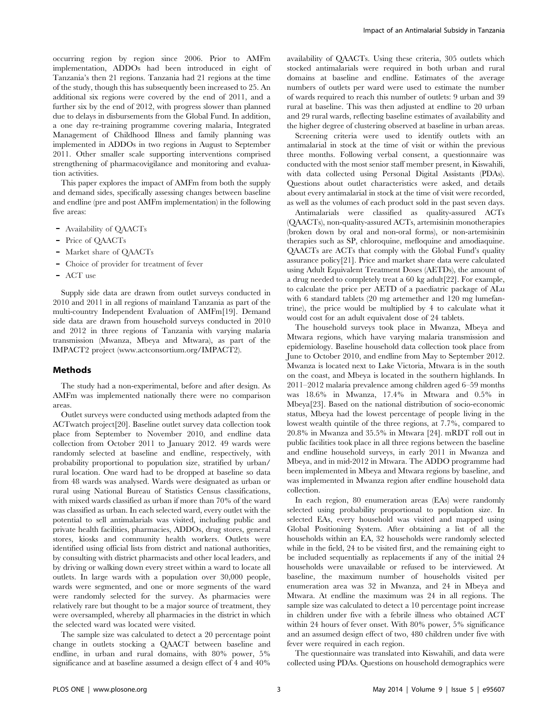occurring region by region since 2006. Prior to AMFm implementation, ADDOs had been introduced in eight of Tanzania's then 21 regions. Tanzania had 21 regions at the time of the study, though this has subsequently been increased to 25. An additional six regions were covered by the end of 2011, and a further six by the end of 2012, with progress slower than planned due to delays in disbursements from the Global Fund. In addition, a one day re-training programme covering malaria, Integrated Management of Childhood Illness and family planning was implemented in ADDOs in two regions in August to September 2011. Other smaller scale supporting interventions comprised strengthening of pharmacovigilance and monitoring and evaluation activities.

This paper explores the impact of AMFm from both the supply and demand sides, specifically assessing changes between baseline and endline (pre and post AMFm implementation) in the following five areas:

- Availability of QAACTs
- Price of OAACTs
- Market share of QAACTs
- Choice of provider for treatment of fever
- ACT use

Supply side data are drawn from outlet surveys conducted in 2010 and 2011 in all regions of mainland Tanzania as part of the multi-country Independent Evaluation of AMFm[19]. Demand side data are drawn from household surveys conducted in 2010 and 2012 in three regions of Tanzania with varying malaria transmission (Mwanza, Mbeya and Mtwara), as part of the IMPACT2 project [\(www.actconsortium.org/IMPACT2](www.actconsortium.org/IMPACT2)).

# Methods

The study had a non-experimental, before and after design. As AMFm was implemented nationally there were no comparison areas.

Outlet surveys were conducted using methods adapted from the ACTwatch project[20]. Baseline outlet survey data collection took place from September to November 2010, and endline data collection from October 2011 to January 2012. 49 wards were randomly selected at baseline and endline, respectively, with probability proportional to population size, stratified by urban/ rural location. One ward had to be dropped at baseline so data from 48 wards was analysed. Wards were designated as urban or rural using National Bureau of Statistics Census classifications, with mixed wards classified as urban if more than 70% of the ward was classified as urban. In each selected ward, every outlet with the potential to sell antimalarials was visited, including public and private health facilities, pharmacies, ADDOs, drug stores, general stores, kiosks and community health workers. Outlets were identified using official lists from district and national authorities, by consulting with district pharmacists and other local leaders, and by driving or walking down every street within a ward to locate all outlets. In large wards with a population over 30,000 people, wards were segmented, and one or more segments of the ward were randomly selected for the survey. As pharmacies were relatively rare but thought to be a major source of treatment, they were oversampled, whereby all pharmacies in the district in which the selected ward was located were visited.

The sample size was calculated to detect a 20 percentage point change in outlets stocking a QAACT between baseline and endline, in urban and rural domains, with 80% power, 5% significance and at baseline assumed a design effect of 4 and 40%

availability of QAACTs. Using these criteria, 305 outlets which stocked antimalarials were required in both urban and rural domains at baseline and endline. Estimates of the average numbers of outlets per ward were used to estimate the number of wards required to reach this number of outlets: 9 urban and 39 rural at baseline. This was then adjusted at endline to 20 urban and 29 rural wards, reflecting baseline estimates of availability and the higher degree of clustering observed at baseline in urban areas.

Screening criteria were used to identify outlets with an antimalarial in stock at the time of visit or within the previous three months. Following verbal consent, a questionnaire was conducted with the most senior staff member present, in Kiswahili, with data collected using Personal Digital Assistants (PDAs). Questions about outlet characteristics were asked, and details about every antimalarial in stock at the time of visit were recorded, as well as the volumes of each product sold in the past seven days.

Antimalarials were classified as quality-assured ACTs (QAACTs), non-quality-assured ACTs, artemisinin monotherapies (broken down by oral and non-oral forms), or non-artemisinin therapies such as SP, chloroquine, mefloquine and amodiaquine. QAACTs are ACTs that comply with the Global Fund's quality assurance policy[21]. Price and market share data were calculated using Adult Equivalent Treatment Doses (AETDs), the amount of a drug needed to completely treat a 60 kg adult[22]. For example, to calculate the price per AETD of a paediatric package of ALu with 6 standard tablets (20 mg artemether and 120 mg lumefantrine), the price would be multiplied by 4 to calculate what it would cost for an adult equivalent dose of 24 tablets.

The household surveys took place in Mwanza, Mbeya and Mtwara regions, which have varying malaria transmission and epidemiology. Baseline household data collection took place from June to October 2010, and endline from May to September 2012. Mwanza is located next to Lake Victoria, Mtwara is in the south on the coast, and Mbeya is located in the southern highlands. In 2011–2012 malaria prevalence among children aged 6–59 months was 18.6% in Mwanza, 17.4% in Mtwara and 0.5% in Mbeya[23]. Based on the national distribution of socio-economic status, Mbeya had the lowest percentage of people living in the lowest wealth quintile of the three regions, at 7.7%, compared to 20.8% in Mwanza and 35.5% in Mtwara [24]. mRDT roll out in public facilities took place in all three regions between the baseline and endline household surveys, in early 2011 in Mwanza and Mbeya, and in mid-2012 in Mtwara. The ADDO programme had been implemented in Mbeya and Mtwara regions by baseline, and was implemented in Mwanza region after endline household data collection.

In each region, 80 enumeration areas (EAs) were randomly selected using probability proportional to population size. In selected EAs, every household was visited and mapped using Global Positioning System. After obtaining a list of all the households within an EA, 32 households were randomly selected while in the field, 24 to be visited first, and the remaining eight to be included sequentially as replacements if any of the initial 24 households were unavailable or refused to be interviewed. At baseline, the maximum number of households visited per enumeration area was 32 in Mwanza, and 24 in Mbeya and Mtwara. At endline the maximum was 24 in all regions. The sample size was calculated to detect a 10 percentage point increase in children under five with a febrile illness who obtained ACT within 24 hours of fever onset. With 80% power, 5% significance and an assumed design effect of two, 480 children under five with fever were required in each region.

The questionnaire was translated into Kiswahili, and data were collected using PDAs. Questions on household demographics were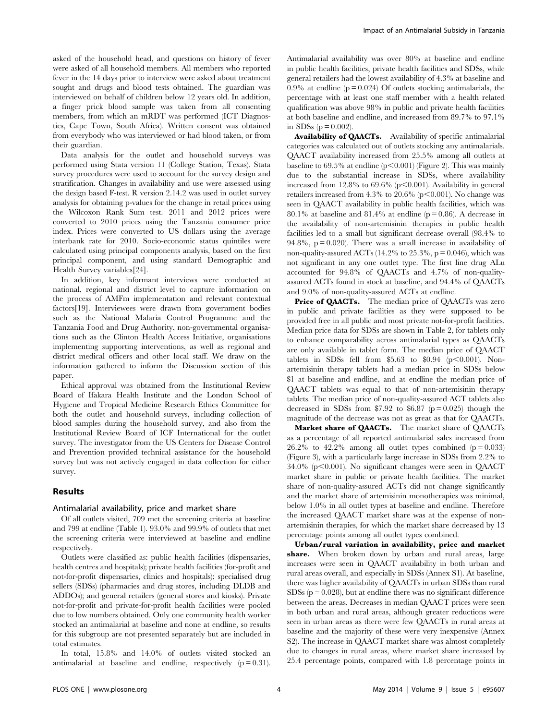asked of the household head, and questions on history of fever were asked of all household members. All members who reported fever in the 14 days prior to interview were asked about treatment sought and drugs and blood tests obtained. The guardian was interviewed on behalf of children below 12 years old. In addition, a finger prick blood sample was taken from all consenting members, from which an mRDT was performed (ICT Diagnostics, Cape Town, South Africa). Written consent was obtained from everybody who was interviewed or had blood taken, or from their guardian.

Data analysis for the outlet and household surveys was performed using Stata version 11 (College Station, Texas). Stata survey procedures were used to account for the survey design and stratification. Changes in availability and use were assessed using the design based F-test. R version 2.14.2 was used in outlet survey analysis for obtaining p-values for the change in retail prices using the Wilcoxon Rank Sum test. 2011 and 2012 prices were converted to 2010 prices using the Tanzania consumer price index. Prices were converted to US dollars using the average interbank rate for 2010. Socio-economic status quintiles were calculated using principal components analysis, based on the first principal component, and using standard Demographic and Health Survey variables[24].

In addition, key informant interviews were conducted at national, regional and district level to capture information on the process of AMFm implementation and relevant contextual factors[19]. Interviewees were drawn from government bodies such as the National Malaria Control Programme and the Tanzania Food and Drug Authority, non-governmental organisations such as the Clinton Health Access Initiative, organisations implementing supporting interventions, as well as regional and district medical officers and other local staff. We draw on the information gathered to inform the Discussion section of this paper.

Ethical approval was obtained from the Institutional Review Board of Ifakara Health Institute and the London School of Hygiene and Tropical Medicine Research Ethics Committee for both the outlet and household surveys, including collection of blood samples during the household survey, and also from the Institutional Review Board of ICF International for the outlet survey. The investigator from the US Centers for Disease Control and Prevention provided technical assistance for the household survey but was not actively engaged in data collection for either survey.

# Results

### Antimalarial availability, price and market share

Of all outlets visited, 709 met the screening criteria at baseline and 799 at endline (Table 1). 93.0% and 99.9% of outlets that met the screening criteria were interviewed at baseline and endline respectively.

Outlets were classified as: public health facilities (dispensaries, health centres and hospitals); private health facilities (for-profit and not-for-profit dispensaries, clinics and hospitals); specialised drug sellers (SDSs) (pharmacies and drug stores, including DLDB and ADDOs); and general retailers (general stores and kiosks). Private not-for-profit and private-for-profit health facilities were pooled due to low numbers obtained. Only one community health worker stocked an antimalarial at baseline and none at endline, so results for this subgroup are not presented separately but are included in total estimates.

In total, 15.8% and 14.0% of outlets visited stocked an antimalarial at baseline and endline, respectively  $(p = 0.31)$ .

Antimalarial availability was over 80% at baseline and endline in public health facilities, private health facilities and SDSs, while general retailers had the lowest availability of 4.3% at baseline and 0.9% at endline  $(p = 0.024)$  Of outlets stocking antimalarials, the percentage with at least one staff member with a health related qualification was above 98% in public and private health facilities at both baseline and endline, and increased from 89.7% to 97.1% in SDSs ( $p = 0.002$ ).

Availability of QAACTs. Availability of specific antimalarial categories was calculated out of outlets stocking any antimalarials. QAACT availability increased from 25.5% among all outlets at baseline to  $69.5\%$  at endline ( $p<0.001$ ) (Figure 2). This was mainly due to the substantial increase in SDSs, where availability increased from 12.8% to 69.6% ( $p<0.001$ ). Availability in general retailers increased from  $4.3\%$  to  $20.6\%$  (p $\leq 0.001$ ). No change was seen in QAACT availability in public health facilities, which was 80.1% at baseline and 81.4% at endline ( $p = 0.86$ ). A decrease in the availability of non-artemisinin therapies in public health facilities led to a small but significant decrease overall (98.4% to 94.8%,  $p = 0.020$ . There was a small increase in availability of non-quality-assured ACTs (14.2% to  $25.3$ %, p = 0.046), which was not significant in any one outlet type. The first line drug ALu accounted for 94.8% of QAACTs and 4.7% of non-qualityassured ACTs found in stock at baseline, and 94.4% of QAACTs and 9.0% of non-quality-assured ACTs at endline.

Price of QAACTs. The median price of QAACTs was zero in public and private facilities as they were supposed to be provided free in all public and most private not-for-profit facilities. Median price data for SDSs are shown in Table 2, for tablets only to enhance comparability across antimalarial types as QAACTs are only available in tablet form. The median price of QAACT tablets in SDSs fell from \$5.63 to \$0.94 ( $p<0.001$ ). Nonartemisinin therapy tablets had a median price in SDSs below \$1 at baseline and endline, and at endline the median price of QAACT tablets was equal to that of non-artemisinin therapy tablets. The median price of non-quality-assured ACT tablets also decreased in SDSs from \$7.92 to \$6.87 ( $p = 0.025$ ) though the magnitude of the decrease was not as great as that for QAACTs.

Market share of QAACTs. The market share of QAACTs as a percentage of all reported antimalarial sales increased from 26.2% to 42.2% among all outlet types combined  $(p=0.033)$ (Figure 3), with a particularly large increase in SDSs from 2.2% to 34.0% ( $p<0.001$ ). No significant changes were seen in QAACT market share in public or private health facilities. The market share of non-quality-assured ACTs did not change significantly and the market share of artemisinin monotherapies was minimal, below 1.0% in all outlet types at baseline and endline. Therefore the increased QAACT market share was at the expense of nonartemisinin therapies, for which the market share decreased by 13 percentage points among all outlet types combined.

Urban/rural variation in availability, price and market share. When broken down by urban and rural areas, large increases were seen in QAACT availability in both urban and rural areas overall, and especially in SDSs (Annex S1). At baseline, there was higher availability of QAACTs in urban SDSs than rural  $SDSs$  ( $p = 0.028$ ), but at endline there was no significant difference between the areas. Decreases in median QAACT prices were seen in both urban and rural areas, although greater reductions were seen in urban areas as there were few QAACTs in rural areas at baseline and the majority of these were very inexpensive (Annex S2). The increase in QAACT market share was almost completely due to changes in rural areas, where market share increased by 25.4 percentage points, compared with 1.8 percentage points in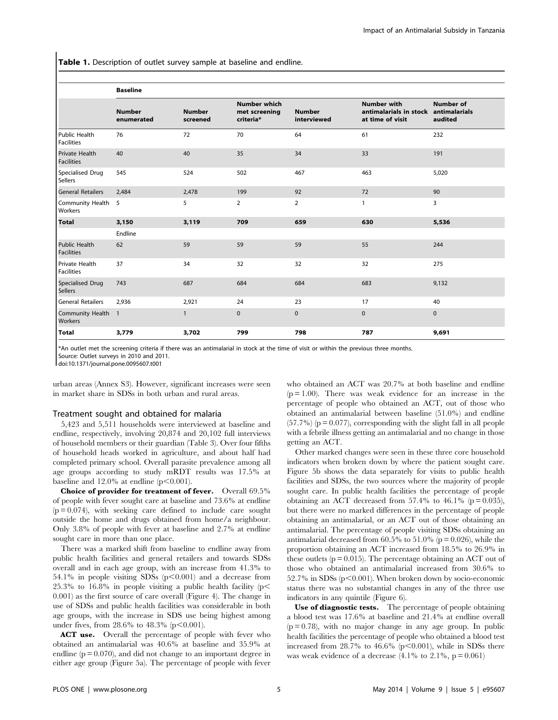Table 1. Description of outlet survey sample at baseline and endline.

|                                           | <b>Baseline</b>             |                           |                                                   |                              |                                                                  |                                              |
|-------------------------------------------|-----------------------------|---------------------------|---------------------------------------------------|------------------------------|------------------------------------------------------------------|----------------------------------------------|
|                                           | <b>Number</b><br>enumerated | <b>Number</b><br>screened | <b>Number which</b><br>met screening<br>criteria* | <b>Number</b><br>interviewed | <b>Number with</b><br>antimalarials in stock<br>at time of visit | <b>Number of</b><br>antimalarials<br>audited |
| Public Health<br><b>Facilities</b>        | 76                          | 72                        | 70                                                | 64                           | 61                                                               | 232                                          |
| Private Health<br><b>Facilities</b>       | 40                          | 40                        | 35                                                | 34                           | 33                                                               | 191                                          |
| Specialised Drug<br><b>Sellers</b>        | 545                         | 524                       | 502                                               | 467                          | 463                                                              | 5,020                                        |
| <b>General Retailers</b>                  | 2,484                       | 2,478                     | 199                                               | 92                           | 72                                                               | 90                                           |
| Community Health<br>Workers               | 5                           | 5                         | $\overline{2}$                                    | $\overline{2}$               | $\mathbf{1}$                                                     | 3                                            |
| <b>Total</b>                              | 3,150                       | 3,119                     | 709                                               | 659                          | 630                                                              | 5,536                                        |
|                                           | Endline                     |                           |                                                   |                              |                                                                  |                                              |
| <b>Public Health</b><br><b>Facilities</b> | 62                          | 59                        | 59                                                | 59                           | 55                                                               | 244                                          |
| Private Health<br>Facilities              | 37                          | 34                        | 32                                                | 32                           | 32                                                               | 275                                          |
| <b>Specialised Drug</b><br><b>Sellers</b> | 743                         | 687                       | 684                                               | 684                          | 683                                                              | 9,132                                        |
| <b>General Retailers</b>                  | 2,936                       | 2,921                     | 24                                                | 23                           | 17                                                               | 40                                           |
| <b>Community Health</b><br>Workers        | $\overline{1}$              | $\mathbf{1}$              | $\mathbf 0$                                       | 0                            | $\mathbf 0$                                                      | $\Omega$                                     |
| <b>Total</b>                              | 3,779                       | 3,702                     | 799                                               | 798                          | 787                                                              | 9,691                                        |

\*An outlet met the screening criteria if there was an antimalarial in stock at the time of visit or within the previous three months.

Source: Outlet surveys in 2010 and 2011.

doi:10.1371/journal.pone.0095607.t001

urban areas (Annex S3). However, significant increases were seen in market share in SDSs in both urban and rural areas.

### Treatment sought and obtained for malaria

5,423 and 5,511 households were interviewed at baseline and endline, respectively, involving 20,874 and 20,102 full interviews of household members or their guardian (Table 3). Over four fifths of household heads worked in agriculture, and about half had completed primary school. Overall parasite prevalence among all age groups according to study mRDT results was 17.5% at baseline and  $12.0\%$  at endline (p $\leq 0.001$ ).

Choice of provider for treatment of fever. Overall 69.5% of people with fever sought care at baseline and 73.6% at endline  $(p = 0.074)$ , with seeking care defined to include care sought outside the home and drugs obtained from home/a neighbour. Only 3.8% of people with fever at baseline and 2.7% at endline sought care in more than one place.

There was a marked shift from baseline to endline away from public health facilities and general retailers and towards SDSs overall and in each age group, with an increase from 41.3% to 54.1% in people visiting SDSs  $(p<0.001)$  and a decrease from 25.3% to 16.8% in people visiting a public health facility ( $p<$ 0.001) as the first source of care overall (Figure 4). The change in use of SDSs and public health facilities was considerable in both age groups, with the increase in SDS use being highest among under fives, from  $28.6\%$  to  $48.3\%$  (p $\leq 0.001$ ).

ACT use. Overall the percentage of people with fever who obtained an antimalarial was 40.6% at baseline and 35.9% at endline  $(p = 0.070)$ , and did not change to an important degree in either age group (Figure 5a). The percentage of people with fever

who obtained an ACT was 20.7% at both baseline and endline  $(p = 1.00)$ . There was weak evidence for an increase in the percentage of people who obtained an ACT, out of those who obtained an antimalarial between baseline (51.0%) and endline  $(57.7%)$  ( $p = 0.077$ ), corresponding with the slight fall in all people with a febrile illness getting an antimalarial and no change in those getting an ACT.

Other marked changes were seen in these three core household indicators when broken down by where the patient sought care. Figure 5b shows the data separately for visits to public health facilities and SDSs, the two sources where the majority of people sought care. In public health facilities the percentage of people obtaining an ACT decreased from 57.4% to 46.1% ( $p = 0.035$ ), but there were no marked differences in the percentage of people obtaining an antimalarial, or an ACT out of those obtaining an antimalarial. The percentage of people visiting SDSs obtaining an antimalarial decreased from  $60.5\%$  to  $51.0\%$  (p = 0.026), while the proportion obtaining an ACT increased from 18.5% to 26.9% in these outlets  $(p = 0.015)$ . The percentage obtaining an ACT out of those who obtained an antimalarial increased from 30.6% to  $52.7\%$  in SDSs (p $\leq$ 0.001). When broken down by socio-economic status there was no substantial changes in any of the three use indicators in any quintile (Figure 6).

Use of diagnostic tests. The percentage of people obtaining a blood test was 17.6% at baseline and 21.4% at endline overall  $(p = 0.78)$ , with no major change in any age group. In public health facilities the percentage of people who obtained a blood test increased from  $28.7\%$  to  $46.6\%$  (p $\leq 0.001$ ), while in SDSs there was weak evidence of a decrease  $(4.1\%$  to  $2.1\%, p = 0.061)$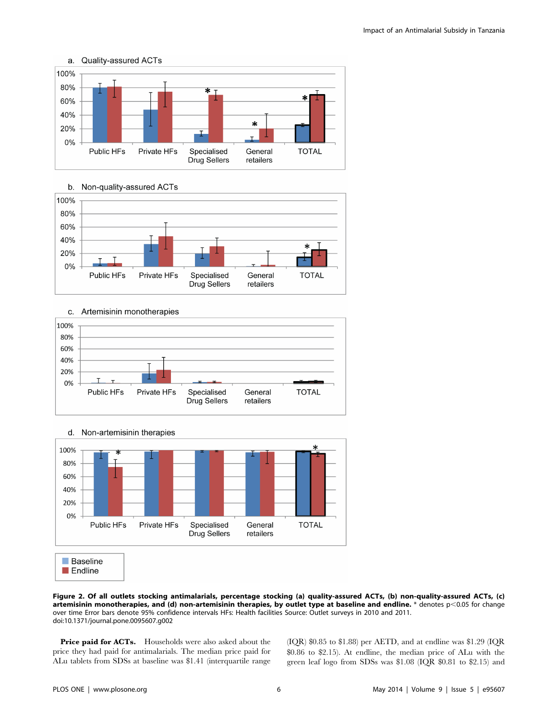



#### b. Non-quality-assured ACTs







Figure 2. Of all outlets stocking antimalarials, percentage stocking (a) quality-assured ACTs, (b) non-quality-assured ACTs, (c) artemisinin monotherapies, and (d) non-artemisinin therapies, by outlet type at baseline and endline.  $*$  denotes p $<$ 0.05 for change over time Error bars denote 95% confidence intervals HFs: Health facilities Source: Outlet surveys in 2010 and 2011. doi:10.1371/journal.pone.0095607.g002

Price paid for ACTs. Households were also asked about the price they had paid for antimalarials. The median price paid for ALu tablets from SDSs at baseline was \$1.41 (interquartile range

(IQR) \$0.85 to \$1.88) per AETD, and at endline was \$1.29 (IQR \$0.86 to \$2.15). At endline, the median price of ALu with the green leaf logo from SDSs was \$1.08 (IQR \$0.81 to \$2.15) and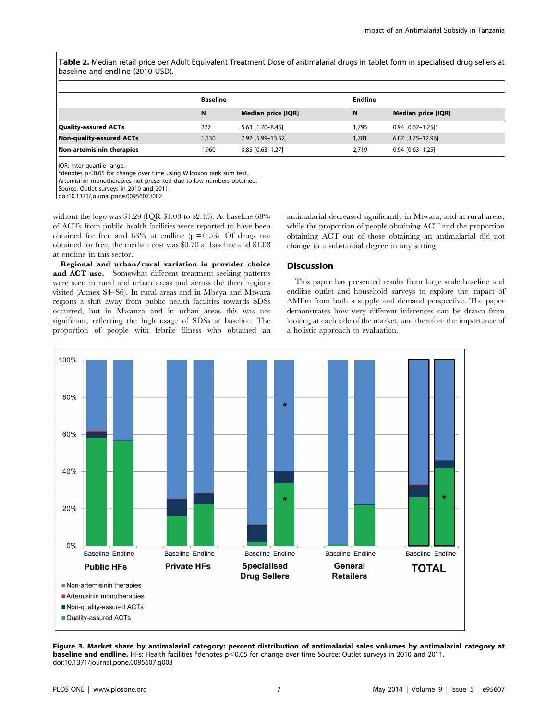Table 2. Median retail price per Adult Equivalent Treatment Dose of antimalarial drugs in tablet form in specialised drug sellers at baseline and endline (2010 USD).

|                                 | <b>Baseline</b> |                    | <b>Endline</b> |                     |  |
|---------------------------------|-----------------|--------------------|----------------|---------------------|--|
|                                 | N               | Median price [IQR] | N              | Median price [IQR]  |  |
| <b>Quality-assured ACTs</b>     | 277             | 5.63 [1.70-8.45]   | 1,795          | $0.94$ [0.62-1.25]* |  |
| <b>Non-quality-assured ACTs</b> | 1,130           | 7.92 [5.99-13.52]  | 1,781          | $6.87$ [3.75-12.96] |  |
| Non-artemisinin therapies       | .960            | $0.85$ [0.63-1.27] | 2,719          | $0.94$ [0.63-1.25]  |  |

IQR: Inter quartile range.

 $*$ denotes p<0.05 for change over time using Wilcoxon rank sum test.

Artemisinin monotherapies not presented due to low numbers obtained.

Source: Outlet surveys in 2010 and 2011.

doi:10.1371/journal.pone.0095607.t002

without the logo was \$1.29 (IQR \$1.08 to \$2.15). At baseline 68% of ACTs from public health facilities were reported to have been obtained for free and  $63\%$  at endline ( $p = 0.53$ ). Of drugs not obtained for free, the median cost was \$0.70 at baseline and \$1.08 at endline in this sector.

Regional and urban/rural variation in provider choice and ACT use. Somewhat different treatment seeking patterns were seen in rural and urban areas and across the three regions visited (Annex S4–S6). In rural areas and in Mbeya and Mtwara regions a shift away from public health facilities towards SDSs occurred, but in Mwanza and in urban areas this was not significant, reflecting the high usage of SDSs at baseline. The proportion of people with febrile illness who obtained an antimalarial decreased significantly in Mtwara, and in rural areas, while the proportion of people obtaining ACT and the proportion obtaining ACT out of those obtaining an antimalarial did not change to a substantial degree in any setting.

# **Discussion**

This paper has presented results from large scale baseline and endline outlet and household surveys to explore the impact of AMFm from both a supply and demand perspective. The paper demonstrates how very different inferences can be drawn from looking at each side of the market, and therefore the importance of a holistic approach to evaluation.



Figure 3. Market share by antimalarial category: percent distribution of antimalarial sales volumes by antimalarial category at baseline and endline. HFs: Health facilities \*denotes p<0.05 for change over time Source: Outlet surveys in 2010 and 2011. doi:10.1371/journal.pone.0095607.g003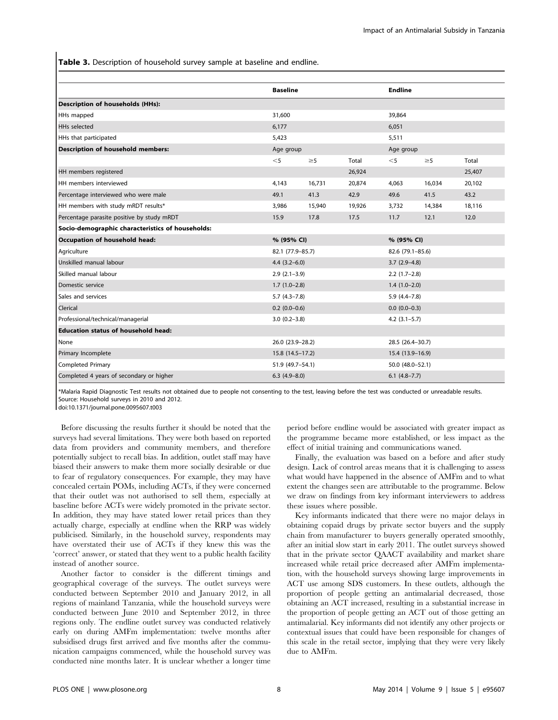Table 3. Description of household survey sample at baseline and endline.

|                                                  | <b>Baseline</b>  |                  |                  | <b>Endline</b>   |                   |        |  |
|--------------------------------------------------|------------------|------------------|------------------|------------------|-------------------|--------|--|
| <b>Description of households (HHs):</b>          |                  |                  |                  |                  |                   |        |  |
| HHs mapped                                       | 31,600           |                  |                  | 39,864           |                   |        |  |
| <b>HHs</b> selected                              |                  | 6,177            |                  |                  | 6,051             |        |  |
| HHs that participated                            | 5,423            |                  |                  | 5,511            |                   |        |  |
| <b>Description of household members:</b>         | Age group        |                  | Age group        |                  |                   |        |  |
|                                                  | $<$ 5            | $\geq$ 5         | Total            | $<$ 5            | $\geq$ 5          | Total  |  |
| HH members registered                            |                  |                  | 26,924           |                  |                   | 25,407 |  |
| HH members interviewed                           | 4,143            | 16,731           | 20,874           | 4,063            | 16,034            | 20,102 |  |
| Percentage interviewed who were male             | 49.1             | 41.3             | 42.9             | 49.6             | 41.5              | 43.2   |  |
| HH members with study mRDT results*              | 3.986            | 15,940           | 19,926           | 3,732            | 14,384            | 18,116 |  |
| Percentage parasite positive by study mRDT       | 15.9             | 17.8             | 17.5             | 11.7             | 12.1              | 12.0   |  |
| Socio-demographic characteristics of households: |                  |                  |                  |                  |                   |        |  |
| Occupation of household head:                    | % (95% CI)       |                  |                  | % (95% CI)       |                   |        |  |
| Agriculture                                      | 82.1 (77.9-85.7) |                  | 82.6 (79.1-85.6) |                  |                   |        |  |
| Unskilled manual labour                          | $4.4(3.2-6.0)$   |                  |                  | $3.7(2.9-4.8)$   |                   |        |  |
| Skilled manual labour                            |                  | $2.9(2.1-3.9)$   |                  |                  | $2.2(1.7-2.8)$    |        |  |
| Domestic service                                 |                  | $1.7(1.0-2.8)$   |                  |                  | $1.4(1.0-2.0)$    |        |  |
| Sales and services                               |                  | $5.7(4.3 - 7.8)$ |                  |                  | $5.9(4.4 - 7.8)$  |        |  |
| Clerical                                         |                  | $0.2$ (0.0-0.6)  |                  |                  | $0.0 (0.0 - 0.3)$ |        |  |
| Professional/technical/managerial                |                  | $3.0(0.2 - 3.8)$ |                  |                  | $4.2$ (3.1-5.7)   |        |  |
| <b>Education status of household head:</b>       |                  |                  |                  |                  |                   |        |  |
| None                                             | 26.0 (23.9-28.2) |                  |                  | 28.5 (26.4-30.7) |                   |        |  |
| Primary Incomplete                               |                  | 15.8 (14.5-17.2) |                  |                  | 15.4 (13.9–16.9)  |        |  |
| Completed Primary                                |                  | 51.9 (49.7-54.1) |                  |                  | 50.0 (48.0-52.1)  |        |  |
| Completed 4 years of secondary or higher         |                  | $6.3(4.9 - 8.0)$ |                  |                  | $6.1$ $(4.8-7.7)$ |        |  |

\*Malaria Rapid Diagnostic Test results not obtained due to people not consenting to the test, leaving before the test was conducted or unreadable results. Source: Household surveys in 2010 and 2012.

doi:10.1371/journal.pone.0095607.t003

Before discussing the results further it should be noted that the surveys had several limitations. They were both based on reported data from providers and community members, and therefore potentially subject to recall bias. In addition, outlet staff may have biased their answers to make them more socially desirable or due to fear of regulatory consequences. For example, they may have concealed certain POMs, including ACTs, if they were concerned that their outlet was not authorised to sell them, especially at baseline before ACTs were widely promoted in the private sector. In addition, they may have stated lower retail prices than they actually charge, especially at endline when the RRP was widely publicised. Similarly, in the household survey, respondents may have overstated their use of ACTs if they knew this was the 'correct' answer, or stated that they went to a public health facility instead of another source.

Another factor to consider is the different timings and geographical coverage of the surveys. The outlet surveys were conducted between September 2010 and January 2012, in all regions of mainland Tanzania, while the household surveys were conducted between June 2010 and September 2012, in three regions only. The endline outlet survey was conducted relatively early on during AMFm implementation: twelve months after subsidised drugs first arrived and five months after the communication campaigns commenced, while the household survey was conducted nine months later. It is unclear whether a longer time

period before endline would be associated with greater impact as the programme became more established, or less impact as the effect of initial training and communications waned.

Finally, the evaluation was based on a before and after study design. Lack of control areas means that it is challenging to assess what would have happened in the absence of AMFm and to what extent the changes seen are attributable to the programme. Below we draw on findings from key informant interviewers to address these issues where possible.

Key informants indicated that there were no major delays in obtaining copaid drugs by private sector buyers and the supply chain from manufacturer to buyers generally operated smoothly, after an initial slow start in early 2011. The outlet surveys showed that in the private sector QAACT availability and market share increased while retail price decreased after AMFm implementation, with the household surveys showing large improvements in ACT use among SDS customers. In these outlets, although the proportion of people getting an antimalarial decreased, those obtaining an ACT increased, resulting in a substantial increase in the proportion of people getting an ACT out of those getting an antimalarial. Key informants did not identify any other projects or contextual issues that could have been responsible for changes of this scale in the retail sector, implying that they were very likely due to AMFm.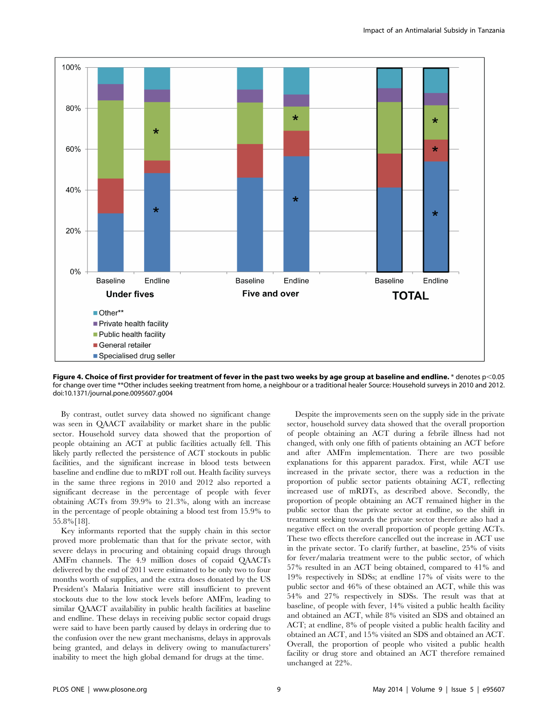

Figure 4. Choice of first provider for treatment of fever in the past two weeks by age group at baseline and endline.  $*$  denotes  $p<0.05$ for change over time \*\*Other includes seeking treatment from home, a neighbour or a traditional healer Source: Household surveys in 2010 and 2012. doi:10.1371/journal.pone.0095607.g004

By contrast, outlet survey data showed no significant change was seen in QAACT availability or market share in the public sector. Household survey data showed that the proportion of people obtaining an ACT at public facilities actually fell. This likely partly reflected the persistence of ACT stockouts in public facilities, and the significant increase in blood tests between baseline and endline due to mRDT roll out. Health facility surveys in the same three regions in 2010 and 2012 also reported a significant decrease in the percentage of people with fever obtaining ACTs from 39.9% to 21.3%, along with an increase in the percentage of people obtaining a blood test from 15.9% to 55.8%[18].

Key informants reported that the supply chain in this sector proved more problematic than that for the private sector, with severe delays in procuring and obtaining copaid drugs through AMFm channels. The 4.9 million doses of copaid QAACTs delivered by the end of 2011 were estimated to be only two to four months worth of supplies, and the extra doses donated by the US President's Malaria Initiative were still insufficient to prevent stockouts due to the low stock levels before AMFm, leading to similar QAACT availability in public health facilities at baseline and endline. These delays in receiving public sector copaid drugs were said to have been partly caused by delays in ordering due to the confusion over the new grant mechanisms, delays in approvals being granted, and delays in delivery owing to manufacturers' inability to meet the high global demand for drugs at the time.

Despite the improvements seen on the supply side in the private sector, household survey data showed that the overall proportion of people obtaining an ACT during a febrile illness had not changed, with only one fifth of patients obtaining an ACT before and after AMFm implementation. There are two possible explanations for this apparent paradox. First, while ACT use increased in the private sector, there was a reduction in the proportion of public sector patients obtaining ACT, reflecting increased use of mRDTs, as described above. Secondly, the proportion of people obtaining an ACT remained higher in the public sector than the private sector at endline, so the shift in treatment seeking towards the private sector therefore also had a negative effect on the overall proportion of people getting ACTs. These two effects therefore cancelled out the increase in ACT use in the private sector. To clarify further, at baseline, 25% of visits for fever/malaria treatment were to the public sector, of which 57% resulted in an ACT being obtained, compared to 41% and 19% respectively in SDSs; at endline 17% of visits were to the public sector and 46% of these obtained an ACT, while this was 54% and 27% respectively in SDSs. The result was that at baseline, of people with fever, 14% visited a public health facility and obtained an ACT, while 8% visited an SDS and obtained an ACT; at endline, 8% of people visited a public health facility and obtained an ACT, and 15% visited an SDS and obtained an ACT. Overall, the proportion of people who visited a public health facility or drug store and obtained an ACT therefore remained unchanged at 22%.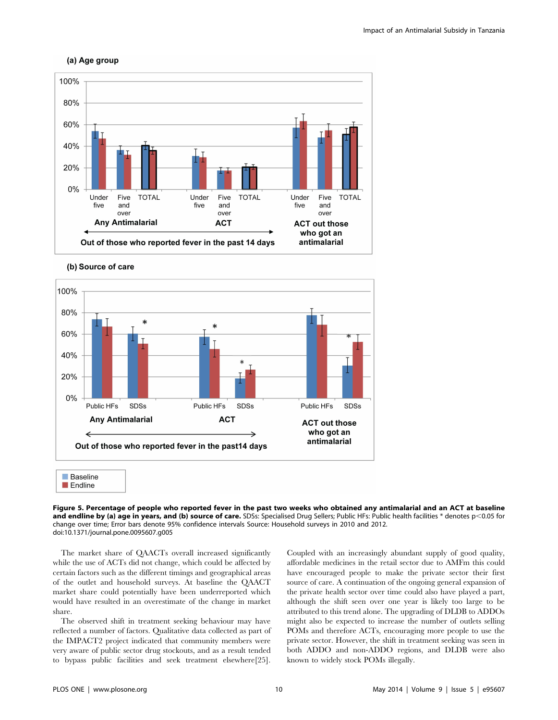





(b) Source of care

Figure 5. Percentage of people who reported fever in the past two weeks who obtained any antimalarial and an ACT at baseline and endline by (a) age in years, and (b) source of care. SDSs: Specialised Drug Sellers; Public HFs: Public health facilities \* denotes p<0.05 for change over time; Error bars denote 95% confidence intervals Source: Household surveys in 2010 and 2012. doi:10.1371/journal.pone.0095607.g005

The market share of QAACTs overall increased significantly while the use of ACTs did not change, which could be affected by certain factors such as the different timings and geographical areas of the outlet and household surveys. At baseline the QAACT market share could potentially have been underreported which would have resulted in an overestimate of the change in market share.

The observed shift in treatment seeking behaviour may have reflected a number of factors. Qualitative data collected as part of the IMPACT2 project indicated that community members were very aware of public sector drug stockouts, and as a result tended to bypass public facilities and seek treatment elsewhere[25].

Coupled with an increasingly abundant supply of good quality, affordable medicines in the retail sector due to AMFm this could have encouraged people to make the private sector their first source of care. A continuation of the ongoing general expansion of the private health sector over time could also have played a part, although the shift seen over one year is likely too large to be attributed to this trend alone. The upgrading of DLDB to ADDOs might also be expected to increase the number of outlets selling POMs and therefore ACTs, encouraging more people to use the private sector. However, the shift in treatment seeking was seen in both ADDO and non-ADDO regions, and DLDB were also known to widely stock POMs illegally.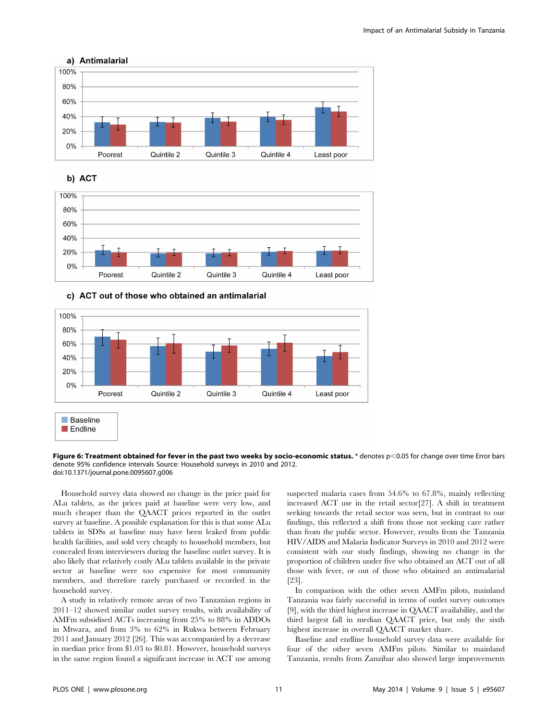





# c) ACT out of those who obtained an antimalarial



Figure 6: Treatment obtained for fever in the past two weeks by socio-economic status. \* denotes  $p<0.05$  for change over time Error bars denote 95% confidence intervals Source: Household surveys in 2010 and 2012. doi:10.1371/journal.pone.0095607.g006

Household survey data showed no change in the price paid for ALu tablets, as the prices paid at baseline were very low, and much cheaper than the QAACT prices reported in the outlet survey at baseline. A possible explanation for this is that some ALu tablets in SDSs at baseline may have been leaked from public health facilities, and sold very cheaply to household members, but concealed from interviewers during the baseline outlet survey. It is also likely that relatively costly ALu tablets available in the private sector at baseline were too expensive for most community members, and therefore rarely purchased or recorded in the household survey.

A study in relatively remote areas of two Tanzanian regions in 2011–12 showed similar outlet survey results, with availability of AMFm subsidised ACTs increasing from 25% to 88% in ADDOs in Mtwara, and from 3% to 62% in Rukwa between February 2011 and January 2012 [26]. This was accompanied by a decrease in median price from \$1.03 to \$0.81. However, household surveys in the same region found a significant increase in ACT use among

suspected malaria cases from 54.6% to 67.8%, mainly reflecting increased ACT use in the retail sector[27]. A shift in treatment seeking towards the retail sector was seen, but in contrast to our findings, this reflected a shift from those not seeking care rather than from the public sector. However, results from the Tanzania HIV/AIDS and Malaria Indicator Surveys in 2010 and 2012 were consistent with our study findings, showing no change in the proportion of children under five who obtained an ACT out of all those with fever, or out of those who obtained an antimalarial [23].

In comparison with the other seven AMFm pilots, mainland Tanzania was fairly successful in terms of outlet survey outcomes [9], with the third highest increase in QAACT availability, and the third largest fall in median QAACT price, but only the sixth highest increase in overall QAACT market share.

Baseline and endline household survey data were available for four of the other seven AMFm pilots. Similar to mainland Tanzania, results from Zanzibar also showed large improvements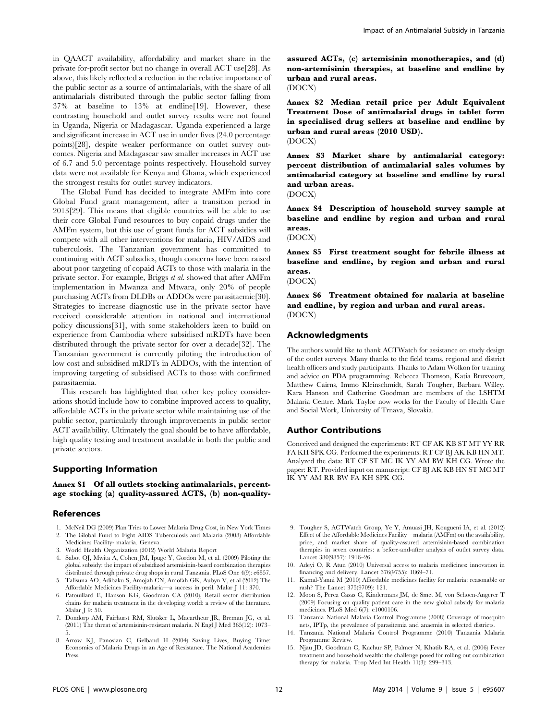in QAACT availability, affordability and market share in the private for-profit sector but no change in overall ACT use[28]. As above, this likely reflected a reduction in the relative importance of the public sector as a source of antimalarials, with the share of all antimalarials distributed through the public sector falling from 37% at baseline to 13% at endline[19]. However, these contrasting household and outlet survey results were not found in Uganda, Nigeria or Madagascar. Uganda experienced a large and significant increase in ACT use in under fives (24.0 percentage points)[28], despite weaker performance on outlet survey outcomes. Nigeria and Madagascar saw smaller increases in ACT use of 6.7 and 5.0 percentage points respectively. Household survey data were not available for Kenya and Ghana, which experienced the strongest results for outlet survey indicators.

The Global Fund has decided to integrate AMFm into core Global Fund grant management, after a transition period in 2013[29]. This means that eligible countries will be able to use their core Global Fund resources to buy copaid drugs under the AMFm system, but this use of grant funds for ACT subsidies will compete with all other interventions for malaria, HIV/AIDS and tuberculosis. The Tanzanian government has committed to continuing with ACT subsidies, though concerns have been raised about poor targeting of copaid ACTs to those with malaria in the private sector. For example, Briggs et al. showed that after AMFm implementation in Mwanza and Mtwara, only 20% of people purchasing ACTs from DLDBs or ADDOs were parasitaemic[30]. Strategies to increase diagnostic use in the private sector have received considerable attention in national and international policy discussions[31], with some stakeholders keen to build on experience from Cambodia where subsidised mRDTs have been distributed through the private sector for over a decade[32]. The Tanzanian government is currently piloting the introduction of low cost and subsidised mRDTs in ADDOs, with the intention of improving targeting of subsidised ACTs to those with confirmed parasitaemia.

This research has highlighted that other key policy considerations should include how to combine improved access to quality, affordable ACTs in the private sector while maintaining use of the public sector, particularly through improvements in public sector ACT availability. Ultimately the goal should be to have affordable, high quality testing and treatment available in both the public and private sectors.

# Supporting Information

Annex S1 Of all outlets stocking antimalarials, percentage stocking (a) quality-assured ACTS, (b) non-quality-

### References

- 1. McNeil DG (2009) Plan Tries to Lower Malaria Drug Cost, in New York Times 2. The Global Fund to Fight AIDS Tuberculosis and Malaria (2008) Affordable Medicines Facility- malaria. Geneva.
- 3. World Health Organization (2012) World Malaria Report
- 4. Sabot OJ, Mwita A, Cohen JM, Ipuge Y, Gordon M, et al. (2009) Piloting the global subsidy: the impact of subsidized artemisinin-based combination therapies distributed through private drug shops in rural Tanzania. PLoS One 4(9): e6857.
- 5. Talisuna AO, Adibaku S, Amojah CN, Amofah GK, Aubyn V, et al (2012) The Affordable Medicines Facility-malaria—a success in peril. Malar J 11: 370.
- 6. Patouillard E, Hanson KG, Goodman CA (2010), Retail sector distribution chains for malaria treatment in the developing world: a review of the literature. Malar J 9: 50.
- 7. Dondorp AM, Fairhurst RM, Slutsker L, Macartheur JR, Breman JG, et al. (2011) The threat of artemisinin-resistant malaria. N Engl J Med 365(12): 1073– 5.
- 8. Arrow KJ, Panosian C, Gelband H (2004) Saving Lives, Buying Time: Economics of Malaria Drugs in an Age of Resistance. The National Academies Press.

assured ACTs, (c) artemisinin monotherapies, and (d) non-artemisinin therapies, at baseline and endline by urban and rural areas.

(DOCX)

Annex S2 Median retail price per Adult Equivalent Treatment Dose of antimalarial drugs in tablet form in specialised drug sellers at baseline and endline by urban and rural areas (2010 USD). (DOCX)

Annex S3 Market share by antimalarial category: percent distribution of antimalarial sales volumes by antimalarial category at baseline and endline by rural and urban areas.

(DOCX)

Annex S4 Description of household survey sample at baseline and endline by region and urban and rural areas.

(DOCX)

Annex S5 First treatment sought for febrile illness at baseline and endline, by region and urban and rural areas.

### (DOCX)

Annex S6 Treatment obtained for malaria at baseline and endline, by region and urban and rural areas. (DOCX)

### Acknowledgments

The authors would like to thank ACTWatch for assistance on study design of the outlet surveys. Many thanks to the field teams, regional and district health officers and study participants. Thanks to Adam Wolkon for training and advice on PDA programming. Rebecca Thomson, Katia Bruxvoort, Matthew Cairns, Immo Kleinschmidt, Sarah Tougher, Barbara Willey, Kara Hanson and Catherine Goodman are members of the LSHTM Malaria Centre. Mark Taylor now works for the Faculty of Health Care and Social Work, University of Trnava, Slovakia.

# Author Contributions

Conceived and designed the experiments: RT CF AK KB ST MT YY RR FA KH SPK CG. Performed the experiments: RT CF BJ AK KB HN MT. Analyzed the data: RT CF ST MC IK YY AM BW KH CG. Wrote the paper: RT. Provided input on manuscript: CF BJ AK KB HN ST MC MT IK YY AM RR BW FA KH SPK CG.

- 9. Tougher S, ACTWatch Group, Ye Y, Amuasi JH, Kougueni IA, et al. (2012) Effect of the Affordable Medicines Facility—malaria (AMFm) on the availability, price, and market share of quality-assured artemisinin-based combination therapies in seven countries: a before-and-after analysis of outlet survey data. Lancet 380(9857): 1916–26.
- 10. Adeyi O, R Atun (2010) Universal access to malaria medicines: innovation in financing and delivery. Lancet 376(9755): 1869–71.
- 11. Kamal-Yanni M (2010) Affordable medicines facility for malaria: reasonable or rash? The Lancet 375(9709): 121.
- 12. Moon S, Perez Casas C, Kindermans JM, de Smet M, von Schoen-Angerer T (2009) Focusing on quality patient care in the new global subsidy for malaria medicines. PLoS Med 6(7): e1000106.
- 13. Tanzania National Malaria Control Programme (2008) Coverage of mosquito nets, IPTp, the prevalence of parasitemia and anaemia in selected districts.
- 14. Tanzania National Malaria Control Programme (2010) Tanzania Malaria Programme Review.
- 15. Njau JD, Goodman C, Kachur SP, Palmer N, Khatib RA, et al. (2006) Fever treatment and household wealth: the challenge posed for rolling out combination therapy for malaria. Trop Med Int Health 11(3): 299–313.